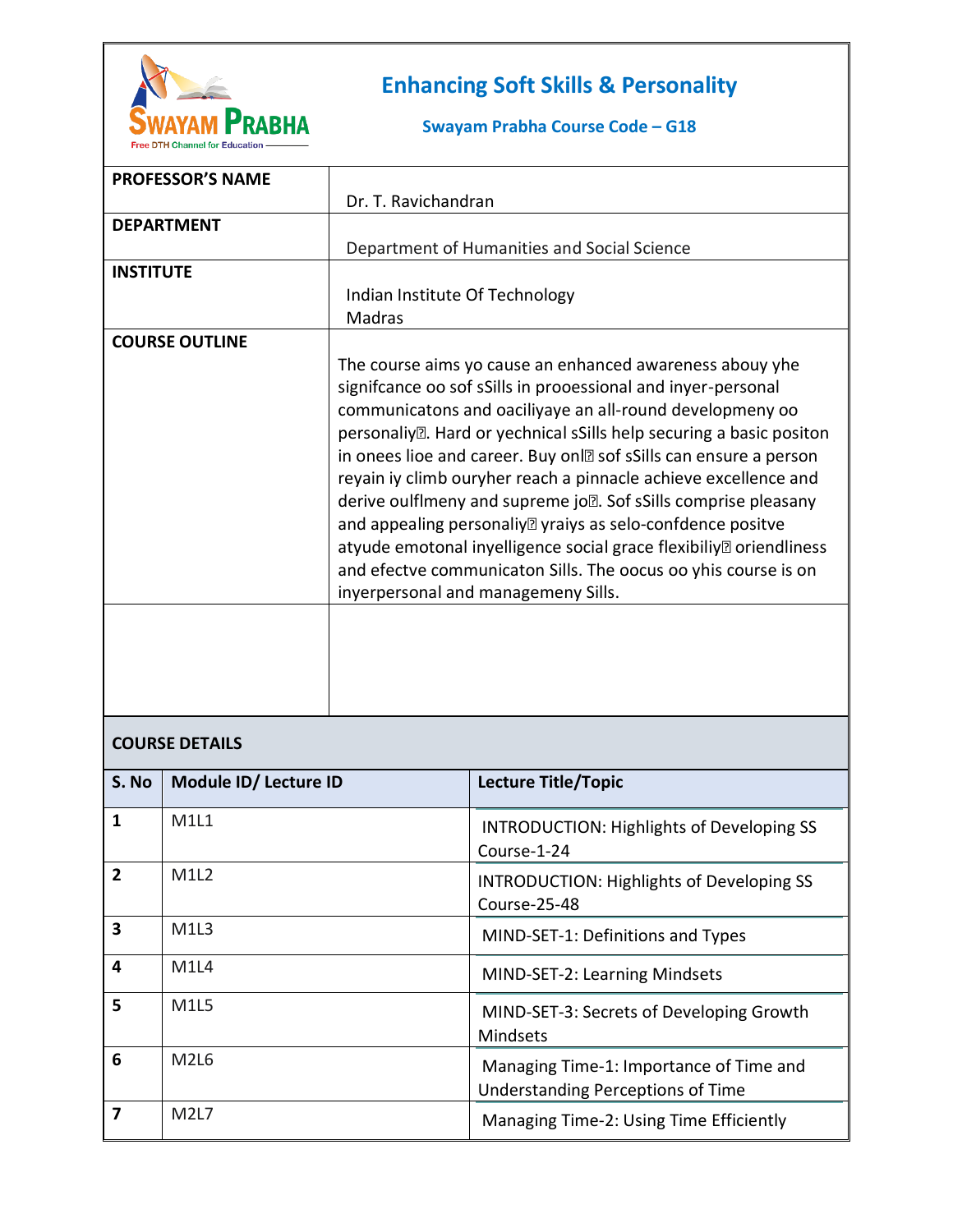

## **Enhancing Soft Skills & Personality**

## Swayam Prabha Course Code - G18

|                       | <b>PROFESSOR'S NAME</b> |                                                                                                                                                                                                                                                                                                                                                                                                                                                                                                                                                                                                                                                                                                                                                                  |                                                                                     |  |  |
|-----------------------|-------------------------|------------------------------------------------------------------------------------------------------------------------------------------------------------------------------------------------------------------------------------------------------------------------------------------------------------------------------------------------------------------------------------------------------------------------------------------------------------------------------------------------------------------------------------------------------------------------------------------------------------------------------------------------------------------------------------------------------------------------------------------------------------------|-------------------------------------------------------------------------------------|--|--|
|                       |                         | Dr. T. Ravichandran                                                                                                                                                                                                                                                                                                                                                                                                                                                                                                                                                                                                                                                                                                                                              |                                                                                     |  |  |
|                       | <b>DEPARTMENT</b>       |                                                                                                                                                                                                                                                                                                                                                                                                                                                                                                                                                                                                                                                                                                                                                                  |                                                                                     |  |  |
|                       |                         |                                                                                                                                                                                                                                                                                                                                                                                                                                                                                                                                                                                                                                                                                                                                                                  | Department of Humanities and Social Science                                         |  |  |
| <b>INSTITUTE</b>      |                         | Indian Institute Of Technology<br>Madras                                                                                                                                                                                                                                                                                                                                                                                                                                                                                                                                                                                                                                                                                                                         |                                                                                     |  |  |
| <b>COURSE OUTLINE</b> |                         | The course aims yo cause an enhanced awareness abouy yhe<br>signifcance oo sof sSills in prooessional and inyer-personal<br>communicatons and oaciliyaye an all-round developmeny oo<br>personaliy <sup>[2]</sup> . Hard or yechnical sSills help securing a basic positon<br>in onees lioe and career. Buy on <b>2</b> sof sSills can ensure a person<br>reyain iy climb ouryher reach a pinnacle achieve excellence and<br>derive oulflmeny and supreme jo . Sof sSills comprise pleasany<br>and appealing personaliy <sup>n</sup> yraiys as selo-confdence positve<br>atyude emotonal inyelligence social grace flexibiliy <sup>®</sup> oriendliness<br>and efectve communicaton Sills. The oocus oo yhis course is on<br>inyerpersonal and managemeny Sills. |                                                                                     |  |  |
| <b>COURSE DETAILS</b> |                         |                                                                                                                                                                                                                                                                                                                                                                                                                                                                                                                                                                                                                                                                                                                                                                  |                                                                                     |  |  |
| S. No                 | Module ID/ Lecture ID   |                                                                                                                                                                                                                                                                                                                                                                                                                                                                                                                                                                                                                                                                                                                                                                  | <b>Lecture Title/Topic</b>                                                          |  |  |
| 1                     | M1L1                    |                                                                                                                                                                                                                                                                                                                                                                                                                                                                                                                                                                                                                                                                                                                                                                  | <b>INTRODUCTION: Highlights of Developing SS</b><br>Course-1-24                     |  |  |
| $\mathbf{2}$          | M1L2                    |                                                                                                                                                                                                                                                                                                                                                                                                                                                                                                                                                                                                                                                                                                                                                                  | INTRODUCTION: Highlights of Developing SS<br>Course-25-48                           |  |  |
| 3                     | M1L3                    |                                                                                                                                                                                                                                                                                                                                                                                                                                                                                                                                                                                                                                                                                                                                                                  | MIND-SET-1: Definitions and Types                                                   |  |  |
| 4                     | M1L4                    |                                                                                                                                                                                                                                                                                                                                                                                                                                                                                                                                                                                                                                                                                                                                                                  | MIND-SET-2: Learning Mindsets                                                       |  |  |
| 5                     | M1L5                    |                                                                                                                                                                                                                                                                                                                                                                                                                                                                                                                                                                                                                                                                                                                                                                  | MIND-SET-3: Secrets of Developing Growth<br>Mindsets                                |  |  |
| 6                     | <b>M2L6</b>             |                                                                                                                                                                                                                                                                                                                                                                                                                                                                                                                                                                                                                                                                                                                                                                  | Managing Time-1: Importance of Time and<br><b>Understanding Perceptions of Time</b> |  |  |
| 7                     | <b>M2L7</b>             |                                                                                                                                                                                                                                                                                                                                                                                                                                                                                                                                                                                                                                                                                                                                                                  | Managing Time-2: Using Time Efficiently                                             |  |  |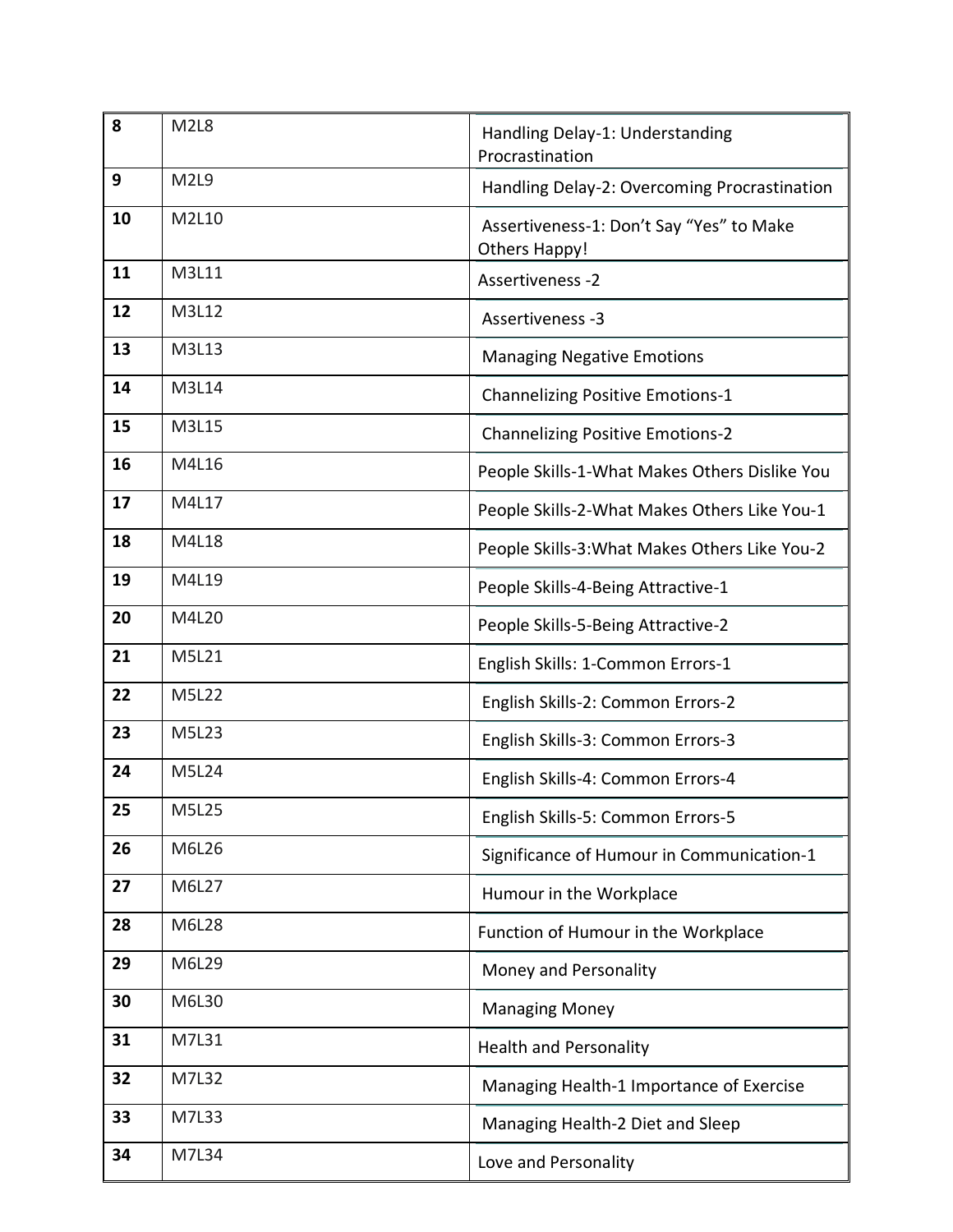| 8  | M <sub>2L</sub> 8 | Handling Delay-1: Understanding<br>Procrastination        |
|----|-------------------|-----------------------------------------------------------|
| 9  | M2L9              | Handling Delay-2: Overcoming Procrastination              |
| 10 | M2L10             | Assertiveness-1: Don't Say "Yes" to Make<br>Others Happy! |
| 11 | M3L11             | Assertiveness -2                                          |
| 12 | M3L12             | Assertiveness -3                                          |
| 13 | M3L13             | <b>Managing Negative Emotions</b>                         |
| 14 | M3L14             | <b>Channelizing Positive Emotions-1</b>                   |
| 15 | M3L15             | <b>Channelizing Positive Emotions-2</b>                   |
| 16 | M4L16             | People Skills-1-What Makes Others Dislike You             |
| 17 | M4L17             | People Skills-2-What Makes Others Like You-1              |
| 18 | M4L18             | People Skills-3: What Makes Others Like You-2             |
| 19 | M4L19             | People Skills-4-Being Attractive-1                        |
| 20 | M4L20             | People Skills-5-Being Attractive-2                        |
| 21 | M5L21             | English Skills: 1-Common Errors-1                         |
| 22 | M5L22             | English Skills-2: Common Errors-2                         |
| 23 | M5L23             | English Skills-3: Common Errors-3                         |
| 24 | M5L24             | English Skills-4: Common Errors-4                         |
| 25 | M5L25             | English Skills-5: Common Errors-5                         |
| 26 | M6L26             | Significance of Humour in Communication-1                 |
| 27 | M6L27             | Humour in the Workplace                                   |
| 28 | M6L28             | Function of Humour in the Workplace                       |
| 29 | M6L29             | Money and Personality                                     |
| 30 | M6L30             | <b>Managing Money</b>                                     |
| 31 | M7L31             | <b>Health and Personality</b>                             |
| 32 | M7L32             | Managing Health-1 Importance of Exercise                  |
| 33 | M7L33             | Managing Health-2 Diet and Sleep                          |
| 34 | M7L34             | Love and Personality                                      |